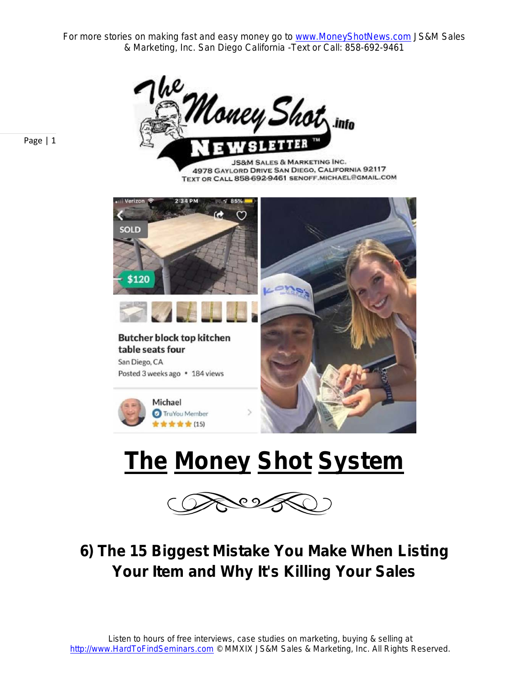For more stories on making fast and easy money go to **www.MoneyShotNews.com** JS&M Sales & Marketing, Inc. San Diego California -Text or Call: 858-692-9461



Page | 1

**JS&M SALES & MARKETING INC.** 4978 GAYLORD DRIVE SAN DIEGO, CALIFORNIA 92117 TEXT OR CALL 858-692-9461 SENOFF MICHAEL@GMAIL.COM



# **The Money Shot System**



#### **6) The 15 Biggest Mistake You Make When Listing Your Item and Why It's Killing Your Sales**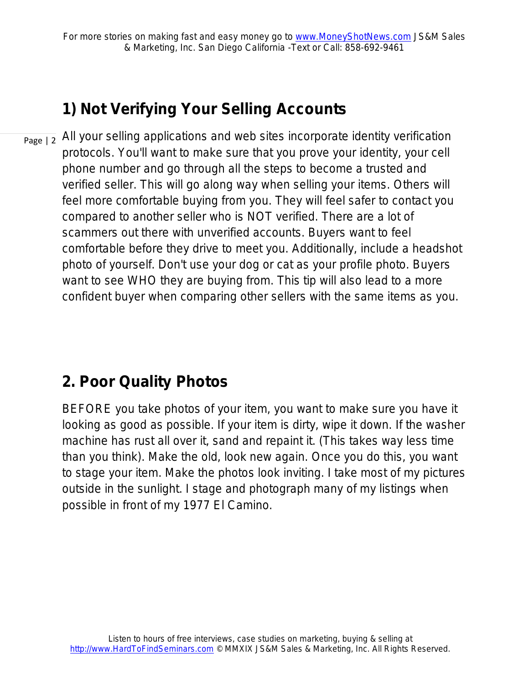#### **1) Not Verifying Your Selling Accounts**

Page | 2 All your selling applications and web sites incorporate identity verification protocols. You'll want to make sure that you prove your identity, your cell phone number and go through all the steps to become a trusted and verified seller. This will go along way when selling your items. Others will feel more comfortable buying from you. They will feel safer to contact you compared to another seller who is NOT verified. There are a lot of scammers out there with unverified accounts. Buyers want to feel comfortable before they drive to meet you. Additionally, include a headshot photo of yourself. Don't use your dog or cat as your profile photo. Buyers want to see WHO they are buying from. This tip will also lead to a more confident buyer when comparing other sellers with the same items as you.

#### **2. Poor Quality Photos**

BEFORE you take photos of your item, you want to make sure you have it looking as good as possible. If your item is dirty, wipe it down. If the washer machine has rust all over it, sand and repaint it. (This takes way less time than you think). Make the old, look new again. Once you do this, you want to stage your item. Make the photos look inviting. I take most of my pictures outside in the sunlight. I stage and photograph many of my listings when possible in front of my 1977 El Camino.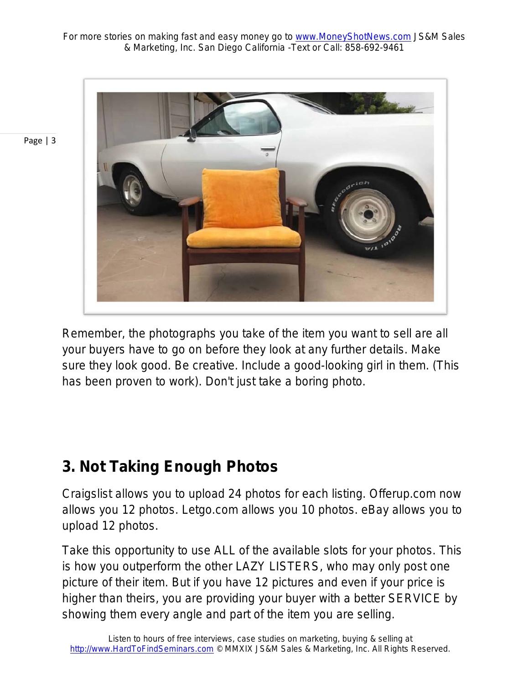

Remember, the photographs you take of the item you want to sell are all your buyers have to go on before they look at any further details. Make sure they look good. Be creative. Include a good-looking girl in them. (This has been proven to work). Don't just take a boring photo.

#### **3. Not Taking Enough Photos**

Craigslist allows you to upload 24 photos for each listing. Offerup.com now allows you 12 photos. Letgo.com allows you 10 photos. eBay allows you to upload 12 photos.

Take this opportunity to use ALL of the available slots for your photos. This is how you outperform the other LAZY LISTERS, who may only post one picture of their item. But if you have 12 pictures and even if your price is higher than theirs, you are providing your buyer with a better SERVICE by showing them every angle and part of the item you are selling.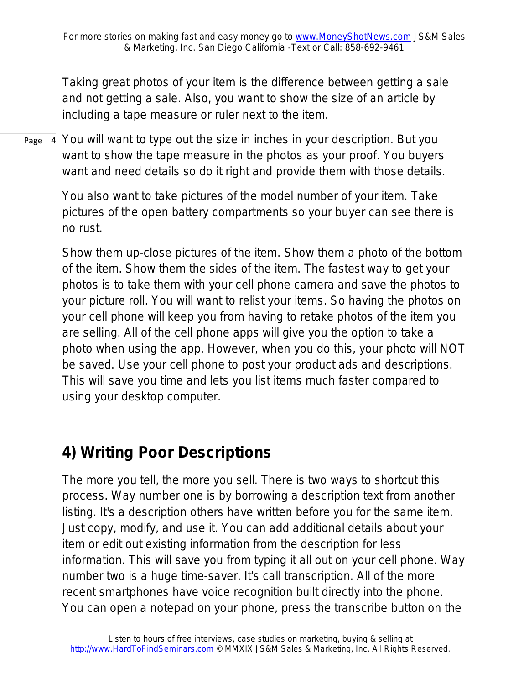Taking great photos of your item is the difference between getting a sale and not getting a sale. Also, you want to show the size of an article by including a tape measure or ruler next to the item.

Page | 4 You will want to type out the size in inches in your description. But you want to show the tape measure in the photos as your proof. You buyers want and need details so do it right and provide them with those details.

> You also want to take pictures of the model number of your item. Take pictures of the open battery compartments so your buyer can see there is no rust.

Show them up-close pictures of the item. Show them a photo of the bottom of the item. Show them the sides of the item. The fastest way to get your photos is to take them with your cell phone camera and save the photos to your picture roll. You will want to relist your items. So having the photos on your cell phone will keep you from having to retake photos of the item you are selling. All of the cell phone apps will give you the option to take a photo when using the app. However, when you do this, your photo will NOT be saved. Use your cell phone to post your product ads and descriptions. This will save you time and lets you list items much faster compared to using your desktop computer.

#### **4) Writing Poor Descriptions**

*The more you tell, the more you sell.* There is two ways to shortcut this process. Way number one is by borrowing a description text from another listing. It's a description others have written before you for the same item. Just copy, modify, and use it. You can add additional details about your item or edit out existing information from the description for less information. This will save you from typing it all out on your cell phone. Way number two is a huge time-saver. It's call transcription. All of the more recent smartphones have voice recognition built directly into the phone. You can open a notepad on your phone, press the transcribe button on the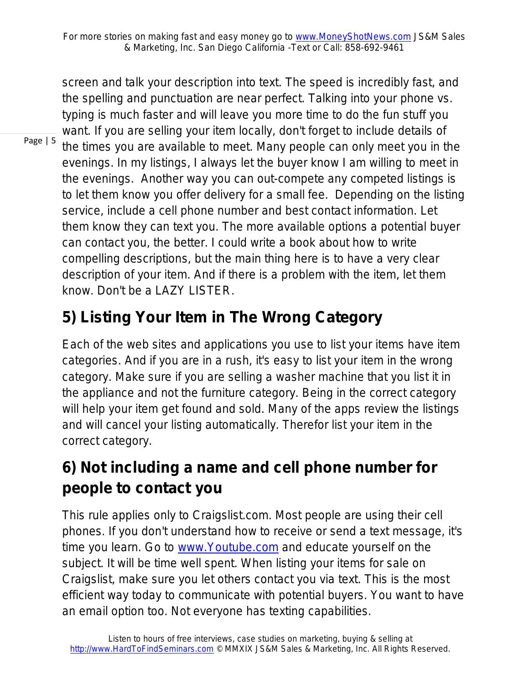screen and talk your description into text. The speed is incredibly fast, and the spelling and punctuation are near perfect. Talking into your phone vs. typing is much faster and will leave you more time to do the fun stuff you want. If you are selling your item locally, don't forget to include details of the times you are available to meet. Many people can only meet you in the evenings. In my listings, I always let the buyer know I am willing to meet in the evenings. Another way you can out-compete any competed listings is to let them know you offer delivery for a small fee. Depending on the listing service, include a cell phone number and best contact information. Let them know they can text you. The more available options a potential buyer can contact you, the better. I could write a book about how to write compelling descriptions, but the main thing here is to have a very clear description of your item. And if there is a problem with the item, let them know. Don't be a LAZY LISTER.

### **5) Listing Your Item in The Wrong Category**

Each of the web sites and applications you use to list your items have item categories. And if you are in a rush, it's easy to list your item in the wrong category. Make sure if you are selling a washer machine that you list it in the appliance and not the furniture category. Being in the correct category will help your item get found and sold. Many of the apps review the listings and will cancel your listing automatically. Therefor list your item in the correct category.

#### **6) Not including a name and cell phone number for people to contact you**

This rule applies only to Craigslist.com. Most people are using their cell phones. If you don't understand how to receive or send a text message, it's time you learn. Go to www.Youtube.com and educate yourself on the subject. It will be time well spent. When listing your items for sale on Craigslist, make sure you let others contact you via text. This is the most efficient way today to communicate with potential buyers. You want to have an email option too. Not everyone has texting capabilities.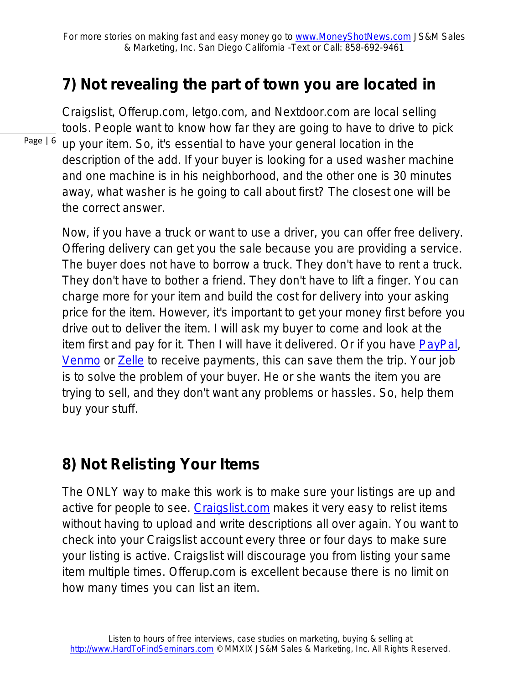#### **7) Not revealing the part of town you are located in**

Page | 6 Craigslist, Offerup.com, letgo.com, and Nextdoor.com are local selling tools. People want to know how far they are going to have to drive to pick up your item. So, it's essential to have your general location in the description of the add. If your buyer is looking for a used washer machine and one machine is in his neighborhood, and the other one is 30 minutes away, what washer is he going to call about first? The closest one will be the correct answer.

Now, if you have a truck or want to use a driver, you can offer free delivery. Offering delivery can get you the sale because you are providing a service. The buyer does not have to borrow a truck. They don't have to rent a truck. They don't have to bother a friend. They don't have to lift a finger. You can charge more for your item and build the cost for delivery into your asking price for the item. However, it's important to get your money first before you drive out to deliver the item. I will ask my buyer to come and look at the item first and pay for it. Then I will have it delivered. Or if you have [PayPal,](http://www.paypal.com/) [Venmo](https://venmo.com/) or [Zelle](https://www.zellepay.com/) to receive payments, this can save them the trip. Your job is to solve the problem of your buyer. He or she wants the item you are trying to sell, and they don't want any problems or hassles. So, help them buy your stuff.

#### **8) Not Relisting Your Items**

The ONLY way to make this work is to make sure your listings are up and active for people to see. [Craigslist.com](http://www.craigslist.com/) makes it very easy to relist items without having to upload and write descriptions all over again. You want to check into your Craigslist account every three or four days to make sure your listing is active. Craigslist will discourage you from listing your same item multiple times. Offerup.com is excellent because there is no limit on how many times you can list an item.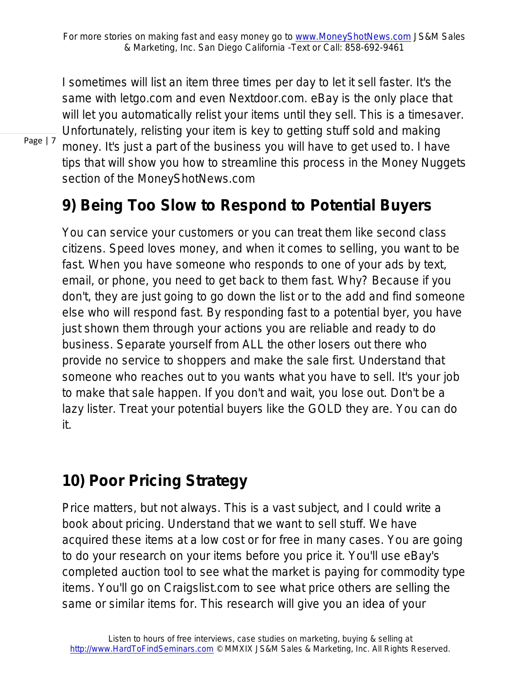I sometimes will list an item three times per day to let it sell faster. It's the same with letgo.com and even Nextdoor.com. eBay is the only place that will let you automatically relist your items until they sell. This is a timesaver. Unfortunately, relisting your item is key to getting stuff sold and making money. It's just a part of the business you will have to get used to. I have tips that will show you how to streamline this process in the Money Nuggets section of the MoneyShotNews.com

#### **9) Being Too Slow to Respond to Potential Buyers**

You can service your customers or you can treat them like second class citizens. Speed loves money, and when it comes to selling, you want to be fast. When you have someone who responds to one of your ads by text, email, or phone, you need to get back to them fast. Why? Because if you don't, they are just going to go down the list or to the add and find someone else who will respond fast. By responding fast to a potential byer, you have just shown them through your actions you are reliable and ready to do business. Separate yourself from ALL the other losers out there who provide no service to shoppers and make the sale first. Understand that someone who reaches out to you wants what you have to sell. It's your job to make that sale happen. If you don't and wait, you lose out. Don't be a lazy lister. Treat your potential buyers like the GOLD they are. You can do it.

#### **10) Poor Pricing Strategy**

Price matters, but not always. This is a vast subject, and I could write a book about pricing. Understand that we want to sell stuff. We have acquired these items at a low cost or for free in many cases. You are going to do your research on your items before you price it. You'll use eBay's completed auction tool to see what the market is paying for commodity type items. You'll go on Craigslist.com to see what price others are selling the same or similar items for. This research will give you an idea of your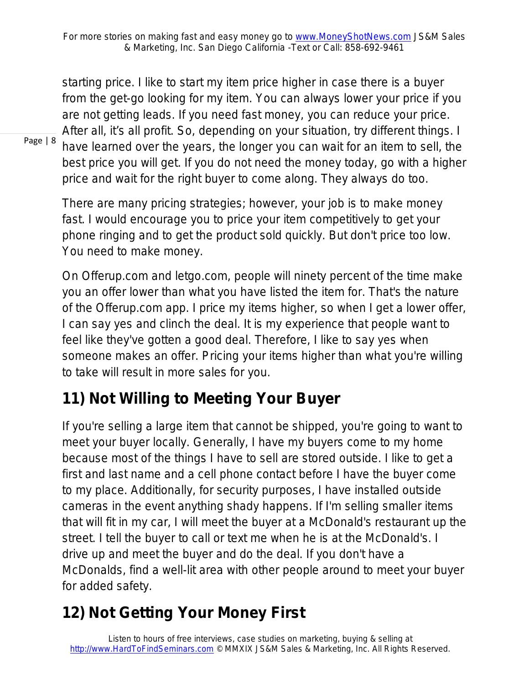starting price. I like to start my item price higher in case there is a buyer from the get-go looking for my item. You can always lower your price if you are not getting leads. If you need fast money, you can reduce your price. After all, it's all profit. So, depending on your situation, try different things. I have learned over the years, the longer you can wait for an item to sell, the best price you will get. If you do not need the money today, go with a higher

price and wait for the right buyer to come along. They always do too.

There are many pricing strategies; however, your job is to make money fast. I would encourage you to price your item competitively to get your phone ringing and to get the product sold quickly. But don't price too low. You need to make money.

On Offerup.com and letgo.com, people will ninety percent of the time make you an offer lower than what you have listed the item for. That's the nature of the Offerup.com app. I price my items higher, so when I get a lower offer, I can say yes and clinch the deal. It is my experience that people want to feel like they've gotten a good deal. Therefore, I like to say yes when someone makes an offer. Pricing your items higher than what you're willing to take will result in more sales for you.

#### **11) Not Willing to Meeting Your Buyer**

If you're selling a large item that cannot be shipped, you're going to want to meet your buyer locally. Generally, I have my buyers come to my home because most of the things I have to sell are stored outside. I like to get a first and last name and a cell phone contact before I have the buyer come to my place. Additionally, for security purposes, I have installed outside cameras in the event anything shady happens. If I'm selling smaller items that will fit in my car, I will meet the buyer at a McDonald's restaurant up the street. I tell the buyer to call or text me when he is at the McDonald's. I drive up and meet the buyer and do the deal. If you don't have a McDonalds, find a well-lit area with other people around to meet your buyer for added safety.

#### **12) Not Getting Your Money First**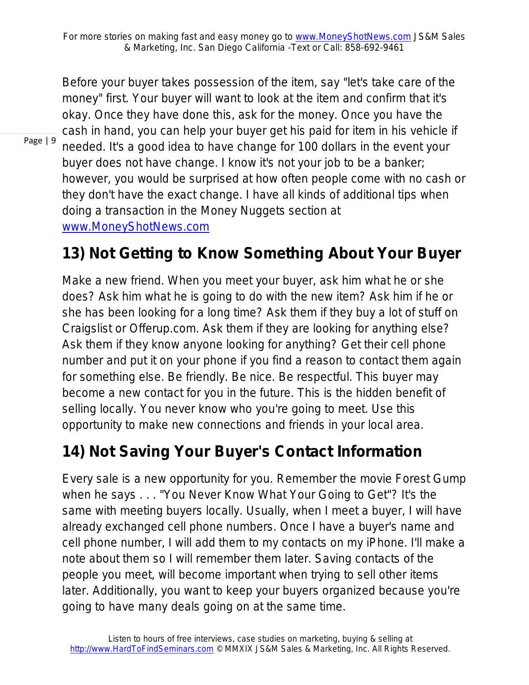Before your buyer takes possession of the item, say "let's take care of the money" first. Your buyer will want to look at the item and confirm that it's okay. Once they have done this, ask for the money. Once you have the cash in hand, you can help your buyer get his paid for item in his vehicle if needed. It's a good idea to have change for 100 dollars in the event your buyer does not have change. I know it's not your job to be a banker; however, you would be surprised at how often people come with no cash or they don't have the exact change. I have all kinds of additional tips when doing a transaction in the Money Nuggets section at www.MoneyShotNews.com

#### **13) Not Getting to Know Something About Your Buyer**

Make a new friend. When you meet your buyer, ask him what he or she does? Ask him what he is going to do with the new item? Ask him if he or she has been looking for a long time? Ask them if they buy a lot of stuff on Craigslist or Offerup.com. Ask them if they are looking for anything else? Ask them if they know anyone looking for anything? Get their cell phone number and put it on your phone if you find a reason to contact them again for something else. Be friendly. Be nice. Be respectful. This buyer may become a new contact for you in the future. This is the hidden benefit of selling locally. You never know who you're going to meet. Use this opportunity to make new connections and friends in your local area.

#### **14) Not Saving Your Buyer's Contact Information**

Every sale is a new opportunity for you. Remember the movie Forest Gump when he says . . . "You Never Know What Your Going to Get"? It's the same with meeting buyers locally. Usually, when I meet a buyer, I will have already exchanged cell phone numbers. Once I have a buyer's name and cell phone number, I will add them to my contacts on my iPhone. I'll make a note about them so I will remember them later. Saving contacts of the people you meet, will become important when trying to sell other items later. Additionally, you want to keep your buyers organized because you're going to have many deals going on at the same time.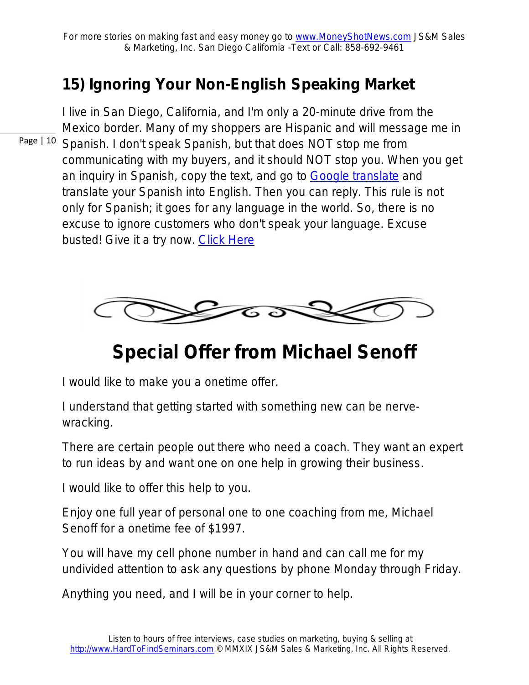#### **15) Ignoring Your Non-English Speaking Market**

Page | 10 Spanish. I don't speak Spanish, but that does NOT stop me from I live in San Diego, California, and I'm only a 20-minute drive from the Mexico border. Many of my shoppers are Hispanic and will message me in communicating with my buyers, and it should NOT stop you. When you get an inquiry in Spanish, copy the text, and go to [Google translate](https://www.google.com/search?q=translate&oq=trsa&aqs=chrome.2.69i57j0l5.4797j0j8&sourceid=chrome&ie=UTF-8) and translate your Spanish into English. Then you can reply. This rule is not only for Spanish; it goes for any language in the world. So, there is no excuse to ignore customers who don't speak your language. Excuse busted! Give it a try now. [Click Here](https://www.google.com/search?q=translate&oq=trsa&aqs=chrome.2.69i57j0l5.4797j0j8&sourceid=chrome&ie=UTF-8)



## **Special Offer from Michael Senoff**

I would like to make you a onetime offer.

I understand that getting started with something new can be nervewracking.

There are certain people out there who need a coach. They want an expert to run ideas by and want one on one help in growing their business.

I would like to offer this help to you.

Enjoy one full year of personal one to one coaching from me, Michael Senoff for a onetime fee of \$1997.

You will have my cell phone number in hand and can call me for my undivided attention to ask any questions by phone Monday through Friday.

Anything you need, and I will be in your corner to help.